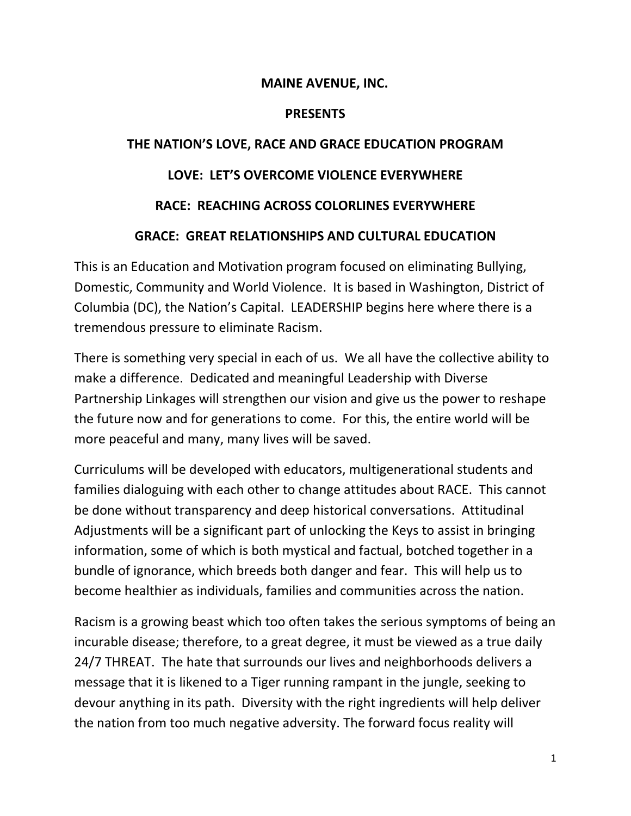### **MAINE AVENUE, INC.**

#### **PRESENTS**

# **THE NATION'S LOVE, RACE AND GRACE EDUCATION PROGRAM LOVE: LET'S OVERCOME VIOLENCE EVERYWHERE**

## **RACE: REACHING ACROSS COLORLINES EVERYWHERE**

## **GRACE: GREAT RELATIONSHIPS AND CULTURAL EDUCATION**

This is an Education and Motivation program focused on eliminating Bullying, Domestic, Community and World Violence. It is based in Washington, District of Columbia (DC), the Nation's Capital. LEADERSHIP begins here where there is a tremendous pressure to eliminate Racism.

There is something very special in each of us. We all have the collective ability to make a difference. Dedicated and meaningful Leadership with Diverse Partnership Linkages will strengthen our vision and give us the power to reshape the future now and for generations to come. For this, the entire world will be more peaceful and many, many lives will be saved.

Curriculums will be developed with educators, multigenerational students and families dialoguing with each other to change attitudes about RACE. This cannot be done without transparency and deep historical conversations. Attitudinal Adjustments will be a significant part of unlocking the Keys to assist in bringing information, some of which is both mystical and factual, botched together in a bundle of ignorance, which breeds both danger and fear. This will help us to become healthier as individuals, families and communities across the nation.

Racism is a growing beast which too often takes the serious symptoms of being an incurable disease; therefore, to a great degree, it must be viewed as a true daily 24/7 THREAT. The hate that surrounds our lives and neighborhoods delivers a message that it is likened to a Tiger running rampant in the jungle, seeking to devour anything in its path. Diversity with the right ingredients will help deliver the nation from too much negative adversity. The forward focus reality will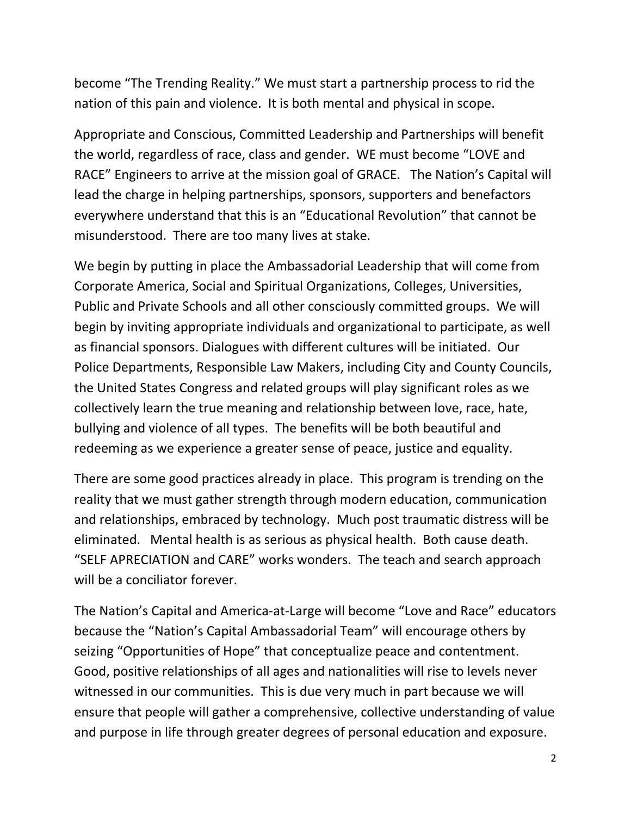become "The Trending Reality." We must start a partnership process to rid the nation of this pain and violence. It is both mental and physical in scope.

Appropriate and Conscious, Committed Leadership and Partnerships will benefit the world, regardless of race, class and gender. WE must become "LOVE and RACE" Engineers to arrive at the mission goal of GRACE. The Nation's Capital will lead the charge in helping partnerships, sponsors, supporters and benefactors everywhere understand that this is an "Educational Revolution" that cannot be misunderstood. There are too many lives at stake.

We begin by putting in place the Ambassadorial Leadership that will come from Corporate America, Social and Spiritual Organizations, Colleges, Universities, Public and Private Schools and all other consciously committed groups. We will begin by inviting appropriate individuals and organizational to participate, as well as financial sponsors. Dialogues with different cultures will be initiated. Our Police Departments, Responsible Law Makers, including City and County Councils, the United States Congress and related groups will play significant roles as we collectively learn the true meaning and relationship between love, race, hate, bullying and violence of all types. The benefits will be both beautiful and redeeming as we experience a greater sense of peace, justice and equality.

There are some good practices already in place. This program is trending on the reality that we must gather strength through modern education, communication and relationships, embraced by technology. Much post traumatic distress will be eliminated. Mental health is as serious as physical health. Both cause death. "SELF APRECIATION and CARE" works wonders. The teach and search approach will be a conciliator forever.

The Nation's Capital and America-at-Large will become "Love and Race" educators because the "Nation's Capital Ambassadorial Team" will encourage others by seizing "Opportunities of Hope" that conceptualize peace and contentment. Good, positive relationships of all ages and nationalities will rise to levels never witnessed in our communities. This is due very much in part because we will ensure that people will gather a comprehensive, collective understanding of value and purpose in life through greater degrees of personal education and exposure.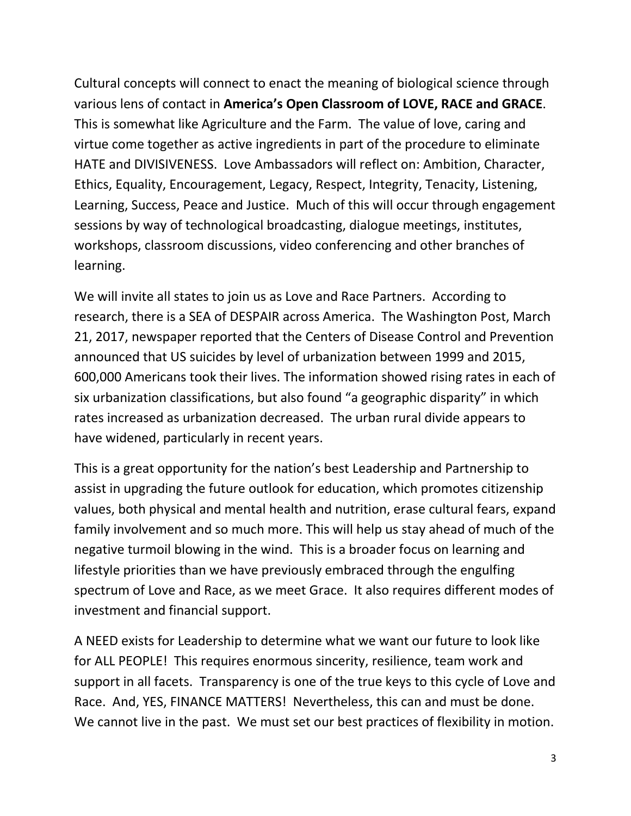Cultural concepts will connect to enact the meaning of biological science through various lens of contact in **America's Open Classroom of LOVE, RACE and GRACE**. This is somewhat like Agriculture and the Farm. The value of love, caring and virtue come together as active ingredients in part of the procedure to eliminate HATE and DIVISIVENESS. Love Ambassadors will reflect on: Ambition, Character, Ethics, Equality, Encouragement, Legacy, Respect, Integrity, Tenacity, Listening, Learning, Success, Peace and Justice. Much of this will occur through engagement sessions by way of technological broadcasting, dialogue meetings, institutes, workshops, classroom discussions, video conferencing and other branches of learning.

We will invite all states to join us as Love and Race Partners. According to research, there is a SEA of DESPAIR across America. The Washington Post, March 21, 2017, newspaper reported that the Centers of Disease Control and Prevention announced that US suicides by level of urbanization between 1999 and 2015, 600,000 Americans took their lives. The information showed rising rates in each of six urbanization classifications, but also found "a geographic disparity" in which rates increased as urbanization decreased. The urban rural divide appears to have widened, particularly in recent years.

This is a great opportunity for the nation's best Leadership and Partnership to assist in upgrading the future outlook for education, which promotes citizenship values, both physical and mental health and nutrition, erase cultural fears, expand family involvement and so much more. This will help us stay ahead of much of the negative turmoil blowing in the wind. This is a broader focus on learning and lifestyle priorities than we have previously embraced through the engulfing spectrum of Love and Race, as we meet Grace. It also requires different modes of investment and financial support.

A NEED exists for Leadership to determine what we want our future to look like for ALL PEOPLE! This requires enormous sincerity, resilience, team work and support in all facets. Transparency is one of the true keys to this cycle of Love and Race. And, YES, FINANCE MATTERS! Nevertheless, this can and must be done. We cannot live in the past. We must set our best practices of flexibility in motion.